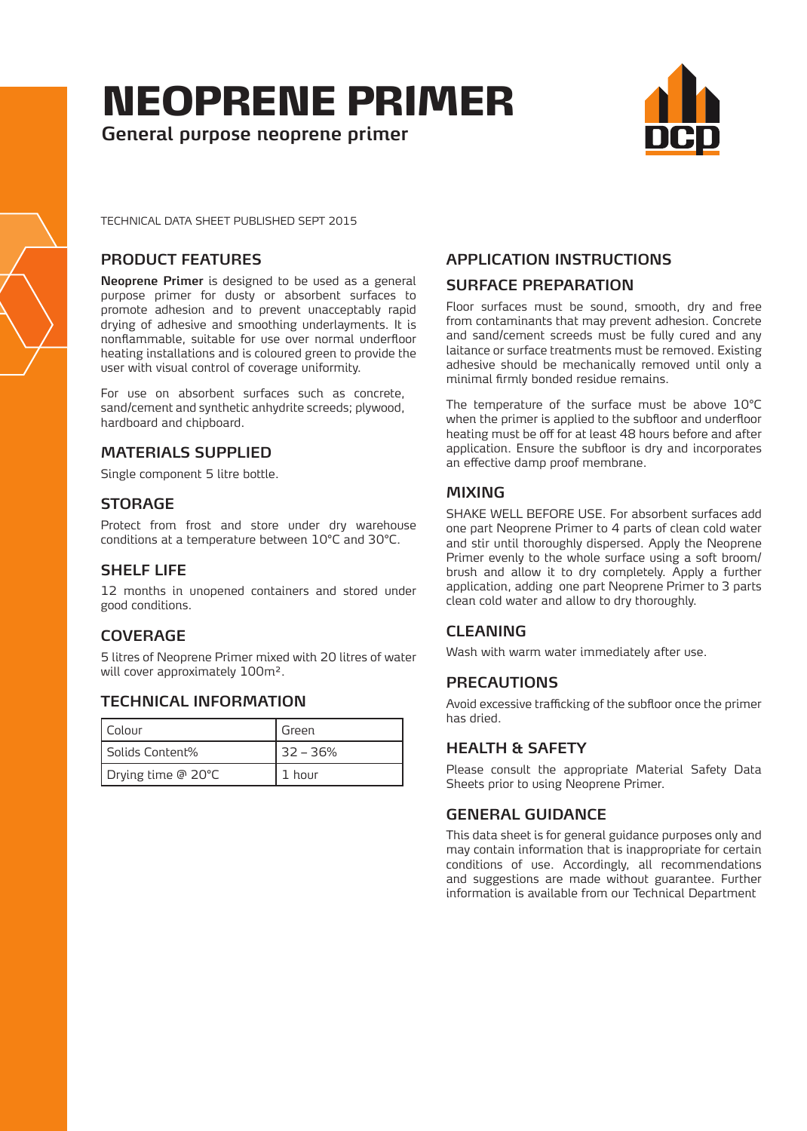# NEOPRENE PRIMER

**General purpose neoprene primer**



TECHNICAL DATA SHEET PUBLISHED SEPT 2015

# **PRODUCT FEATURES**

**Neoprene Primer** is designed to be used as a general purpose primer for dusty or absorbent surfaces to promote adhesion and to prevent unacceptably rapid drying of adhesive and smoothing underlayments. It is nonflammable, suitable for use over normal underfloor heating installations and is coloured green to provide the user with visual control of coverage uniformity.

For use on absorbent surfaces such as concrete, sand/cement and synthetic anhydrite screeds; plywood, hardboard and chipboard.

# **MATERIALS SUPPLIED**

Single component 5 litre bottle.

# **STORAGE**

Protect from frost and store under dry warehouse conditions at a temperature between 10°C and 30°C.

# **SHELF LIFE**

12 months in unopened containers and stored under good conditions.

# **COVERAGE**

5 litres of Neoprene Primer mixed with 20 litres of water will cover approximately 100m².

# **TECHNICAL INFORMATION**

| I Colour           | Green      |
|--------------------|------------|
| Solids Content%    | $32 - 36%$ |
| Drying time @ 20°C | 1 hour     |

# **APPLICATION INSTRUCTIONS**

# **SURFACE PREPARATION**

Floor surfaces must be sound, smooth, dry and free from contaminants that may prevent adhesion. Concrete and sand/cement screeds must be fully cured and any laitance or surface treatments must be removed. Existing adhesive should be mechanically removed until only a minimal firmly bonded residue remains.

The temperature of the surface must be above 10°C when the primer is applied to the subfloor and underfloor heating must be off for at least 48 hours before and after application. Ensure the subfloor is dry and incorporates an effective damp proof membrane.

# **MIXING**

SHAKE WELL BEFORE USE. For absorbent surfaces add one part Neoprene Primer to 4 parts of clean cold water and stir until thoroughly dispersed. Apply the Neoprene Primer evenly to the whole surface using a soft broom/ brush and allow it to dry completely. Apply a further application, adding one part Neoprene Primer to 3 parts clean cold water and allow to dry thoroughly.

# **CLEANING**

Wash with warm water immediately after use.

#### **PRECAUTIONS**

Avoid excessive trafficking of the subfloor once the primer has dried.

# **HEALTH & SAFETY**

Please consult the appropriate Material Safety Data Sheets prior to using Neoprene Primer.

# **GENERAL GUIDANCE**

This data sheet is for general guidance purposes only and may contain information that is inappropriate for certain conditions of use. Accordingly, all recommendations and suggestions are made without guarantee. Further information is available from our Technical Department